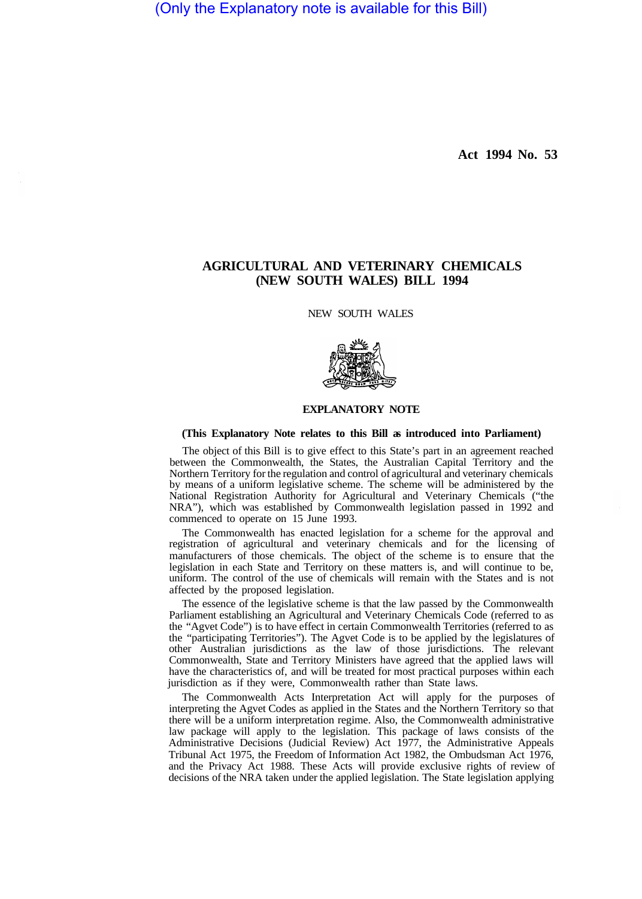(Only the Explanatory note is available for this Bill)

**Act 1994 No. 53** 

# **AGRICULTURAL AND VETERINARY CHEMICALS (NEW SOUTH WALES) BILL 1994**

NEW SOUTH WALES



## **EXPLANATORY NOTE**

### **(This Explanatory Note relates to this Bill as introduced into Parliament)**

The object of this Bill is to give effect to this State's part in an agreement reached between the Commonwealth, the States, the Australian Capital Territory and the Northern Territory for the regulation and control of agricultural and veterinary chemicals by means of a uniform legislative scheme. The scheme will be administered by the National Registration Authority for Agricultural and Veterinary Chemicals ("the NRA"), which was established by Commonwealth legislation passed in 1992 and commenced to operate on 15 June 1993.

The Commonwealth has enacted legislation for a scheme for the approval and registration of agricultural and veterinary chemicals and for the licensing of manufacturers of those chemicals. The object of the scheme is to ensure that the legislation in each State and Territory on these matters is, and will continue to be, uniform. The control of the use of chemicals will remain with the States and is not affected by the proposed legislation.

The essence of the legislative scheme is that the law passed by the Commonwealth Parliament establishing an Agricultural and Veterinary Chemicals Code (referred to as the "Agvet Code") is to have effect in certain Commonwealth Territories (referred to as the "participating Territories"). The Agvet Code is to be applied by the legislatures of other Australian jurisdictions as the law of those jurisdictions. The relevant Commonwealth, State and Territory Ministers have agreed that the applied laws will have the characteristics of, and will be treated for most practical purposes within each jurisdiction as if they were, Commonwealth rather than State laws.

The Commonwealth Acts Interpretation Act will apply for the purposes of interpreting the Agvet Codes as applied in the States and the Northern Territory so that there will be a uniform interpretation regime. Also, the Commonwealth administrative law package will apply to the legislation. This package of laws consists of the Administrative Decisions (Judicial Review) Act 1977, the Administrative Appeals Tribunal Act 1975, the Freedom of Information Act 1982, the Ombudsman Act 1976, and the Privacy Act 1988. These Acts will provide exclusive rights of review of decisions of the NRA taken under the applied legislation. The State legislation applying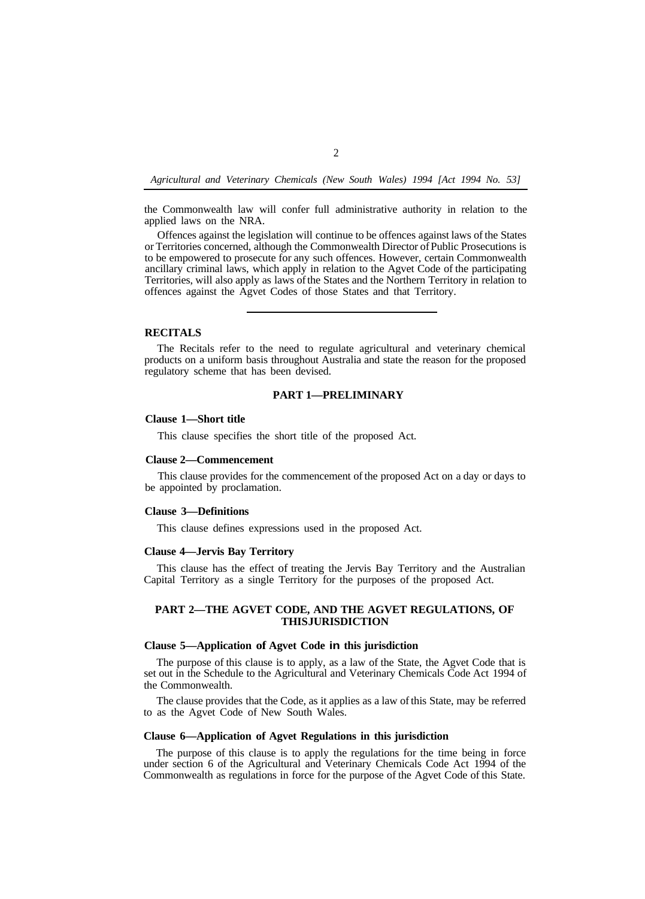the Commonwealth law will confer full administrative authority in relation to the applied laws on the NRA.

Offences against the legislation will continue to be offences against laws of the States or Territories concerned, although the Commonwealth Director of Public Prosecutions is to be empowered to prosecute for any such offences. However, certain Commonwealth ancillary criminal laws, which apply in relation to the Agvet Code of the participating Territories, will also apply as laws of the States and the Northern Territory in relation to offences against the Agvet Codes of those States and that Territory.

### **RECITALS**

The Recitals refer to the need to regulate agricultural and veterinary chemical products on a uniform basis throughout Australia and state the reason for the proposed regulatory scheme that has been devised.

## **PART 1—PRELIMINARY**

#### **Clause 1—Short title**

This clause specifies the short title of the proposed Act.

### **Clause2—Commencement**

This clause provides for the commencement of the proposed Act on a day or days to be appointed by proclamation.

#### **Clause 3—Definitions**

This clause defines expressions used in the proposed Act.

### **Clause 4—Jervis Bay Territory**

Capital Territory as a single Territory for the purposes of the proposed Act. This clause has the effect of treating the Jervis Bay Territory and the Australian

## **PART 2—THE AGVET CODE, AND THE AGVET REGULATIONS, OF THIS JURISDICTION**

## **Clause 5—Application of Agvet Code in this jurisdiction**

The purpose of this clause is to apply, as a law of the State, the Agvet Code that is set out in the Schedule to the Agricultural and Veterinary Chemicals Code Act 1994 of the Commonwealth.

The clause provides that the Code, as it applies as a law of this State, may be referred to as the Agvet Code of New South Wales.

### **Clause 6—Application of Agvet Regulations in this jurisdiction**

The purpose of this clause is to apply the regulations for the time being in force under section 6 of the Agricultural and Veterinary Chemicals Code Act 1994 of the Commonwealth as regulations in force for the purpose of the Agvet Code of this State.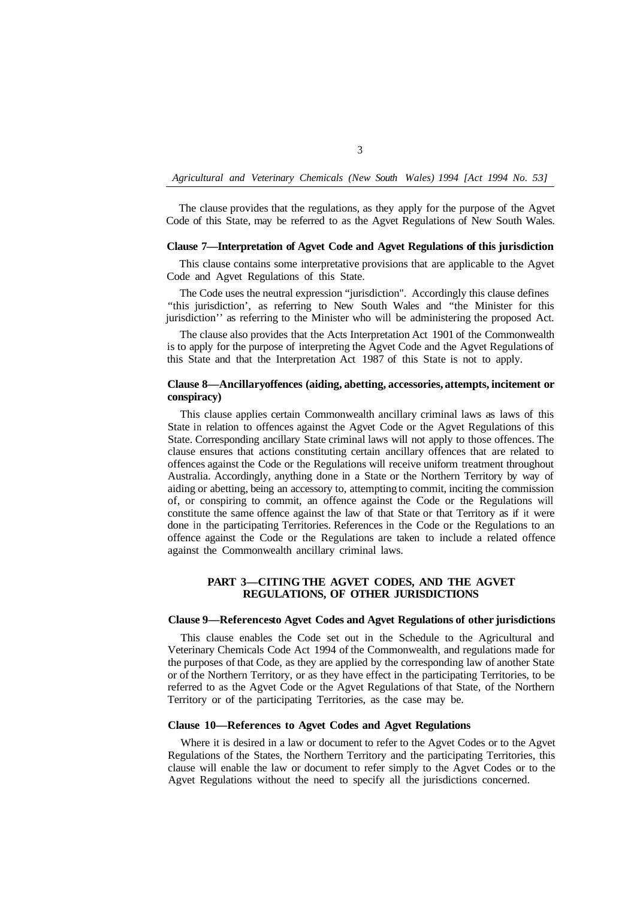The clause provides that the regulations, as they apply for the purpose of the Agvet Code of this State, may be referred to as the Agvet Regulations of New South Wales.

### **Clause 7—Interpretation of Agvet Code and Agvet Regulations of this jurisdiction**

This clause contains some interpretative provisions that are applicable to the Agvet Code and Agvet Regulations of this State.

The Code uses the neutral expression "jurisdiction". Accordingly this clause defines "this jurisdiction', as referring to New South Wales and "the Minister for this jurisdiction'' as referring to the Minister who will be administering the proposed Act.

The clause also provides that the Acts Interpretation Act 1901 of the Commonwealth is to apply for the purpose of interpreting the Agvet Code and the Agvet Regulations of this State and that the Interpretation Act 1987 of this State is not to apply.

## **Clause 8—Ancillary offences (aiding, abetting, accessories, attempts, incitement or conspiracy)**

This clause applies certain Commonwealth ancillary criminal laws as laws of this State in relation to offences against the Agvet Code or the Agvet Regulations of this State. Corresponding ancillary State criminal laws will not apply to those offences. The clause ensures that actions constituting certain ancillary offences that are related to offences against the Code or the Regulations will receive uniform treatment throughout Australia. Accordingly, anything done in a State or the Northern Territory by way of aiding or abetting, being an accessory to, attempting to commit, inciting the commission of, or conspiring to commit, an offence against the Code or the Regulations will constitute the same offence against the law of that State or that Territory as if it were done in the participating Territories. References in the Code or the Regulations to an offence against the Code or the Regulations are taken to include a related offence against the Commonwealth ancillary criminal laws.

## **PART 3—CITING THE AGVET CODES, AND THE AGVET REGULATIONS, OF OTHER JURISDICTIONS**

## **Clause 9—References to Agvet Codes and Agvet Regulations of other jurisdictions**

This clause enables the Code set out in the Schedule to the Agricultural and Veterinary Chemicals Code Act 1994 of the Commonwealth, and regulations made for the purposes of that Code, as they are applied by the corresponding law of another State or of the Northern Territory, or as they have effect in the participating Territories, to be referred to as the Agvet Code or the Agvet Regulations of that State, of the Northern Territory or of the participating Territories, as the case may be.

## **Clause 10—References to Agvet Codes and Agvet Regulations**

Where it is desired in a law or document to refer to the Agvet Codes or to the Agvet Regulations of the States, the Northern Territory and the participating Territories, this clause will enable the law or document to refer simply to the Agvet Codes or to the Agvet Regulations without the need to specify all the jurisdictions concerned.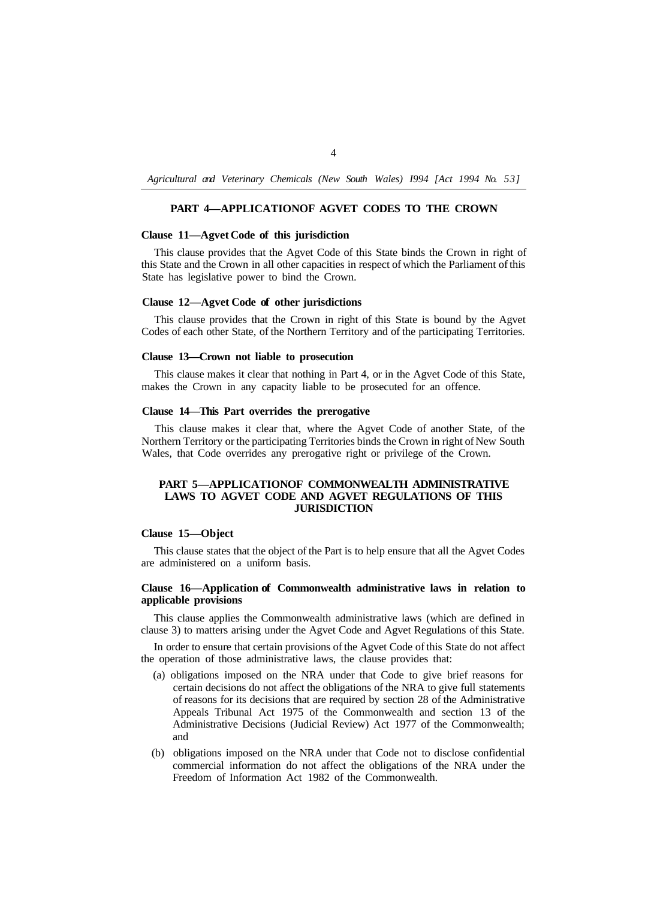# **PART 4-APPLICATIONOF AGVET CODES TO THE CROWN**

### **Clause 11—Agvet Code of this jurisdiction**

This clause provides that the Agvet Code of this State binds the Crown in right of this State and the Crown in all other capacities in respect of which the Parliament of this State has legislative power to bind the Crown.

#### **Clause 12—Agvet Code of other jurisdictions**

This clause provides that the Crown in right of this State is bound by the Agvet Codes of each other State, of the Northern Territory and of the participating Territories.

## **Clause 13—Crown not liable to prosecution**

This clause makes it clear that nothing in Part 4, or in the Agvet Code of this State, makes the Crown in any capacity liable to be prosecuted for an offence.

## **Clause 14—This Part overrides the prerogative**

This clause makes it clear that, where the Agvet Code of another State, of the Northern Territory or the participating Territories binds the Crown in right of New South Wales, that Code overrides any prerogative right or privilege of the Crown.

## **PART 5—APPLICATIONOF COMMONWEALTH ADMINISTRATIVE LAWS TO AGVET CODE AND AGVET REGULATIONS OF THIS JURISDICTION**

## **Clause 15—Object**

This clause states that the object of the Part is to help ensure that all the Agvet Codes are administered on a uniform basis.

## **Clause 16—Application of Commonwealth administrative laws in relation to applicable provisions**

This clause applies the Commonwealth administrative laws (which are defined in clause 3) to matters arising under the Agvet Code and Agvet Regulations of this State.

In order to ensure that certain provisions of the Agvet Code of this State do not affect the operation of those administrative laws, the clause provides that:

- (a) obligations imposed on the NRA under that Code to give brief reasons for certain decisions do not affect the obligations of the NRA to give full statements of reasons for its decisions that are required by section 28 of the Administrative Appeals Tribunal Act 1975 of the Commonwealth and section 13 of the Administrative Decisions (Judicial Review) Act 1977 of the Commonwealth; and
- (b) obligations imposed on the NRA under that Code not to disclose confidential commercial information do not affect the obligations of the NRA under the Freedom of Information Act 1982 of the Commonwealth.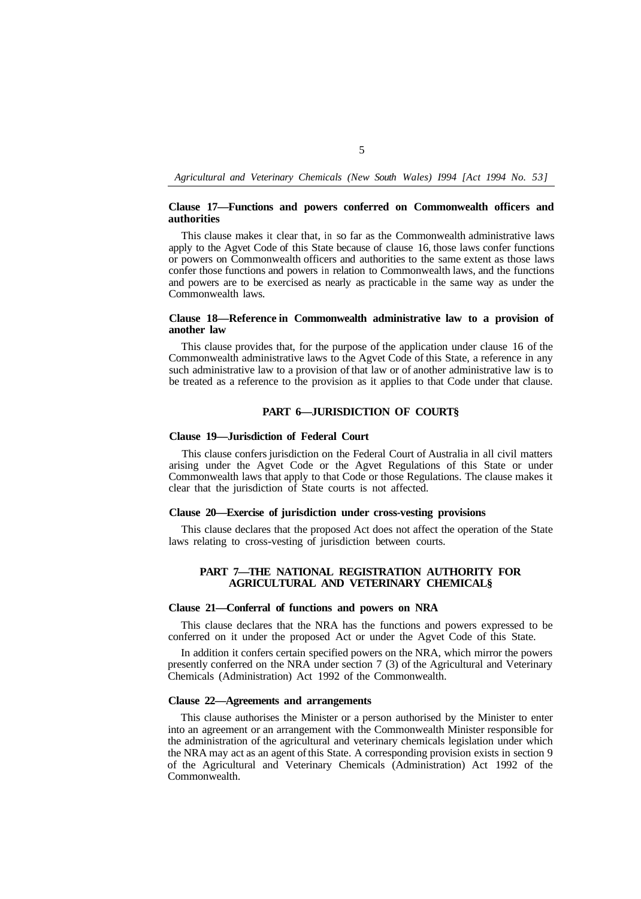### **Clause 17—Functions and powers conferred on Commonwealth officers and authorities**

This clause makes it clear that, in so far as the Commonwealth administrative laws apply to the Agvet Code of this State because of clause 16, those laws confer functions or powers on Commonwealth officers and authorities to the same extent as those laws confer those functions and powers in relation to Commonwealth laws, and the functions and powers are to be exercised as nearly as practicable in the same way as under the Commonwealth laws.

### **Clause 18—Reference in Commonwealth administrative law to a provision of another law**

This clause provides that, for the purpose of the application under clause 16 of the Commonwealth administrative laws to the Agvet Code of this State, a reference in any such administrative law to a provision of that law or of another administrative law is to be treated as a reference to the provision as it applies to that Code under that clause.

## **PART 6—JURISDICTION OF COURT§**

### **Clause 19—Jurisdiction of Federal Court**

This clause confers jurisdiction on the Federal Court of Australia in all civil matters arising under the Agvet Code or the Agvet Regulations of this State or under Commonwealth laws that apply to that Code or those Regulations. The clause makes it clear that the jurisdiction of State courts is not affected.

## **Clause 20—Exercise of jurisdiction under cross-vesting provisions**

laws relating to cross-vesting of jurisdiction between courts. This clause declares that the proposed Act does not affect the operation of the State

## **PART 7—THE NATIONAL REGISTRATION AUTHORITY FOR AGRICULTURAL AND VETERINARY CHEMICAL§**

#### **Clause 21—Conferral of functions and powers on NRA**

This clause declares that the NRA has the functions and powers expressed to be conferred on it under the proposed Act or under the Agvet Code of this State.

In addition it confers certain specified powers on the NRA, which mirror the powers presently conferred on the NRA under section 7 (3) of the Agricultural and Veterinary Chemicals (Administration) Act 1992 of the Commonwealth.

### **Clause 22—Agreements and arrangements**

This clause authorises the Minister or a person authorised by the Minister to enter into an agreement or an arrangement with the Commonwealth Minister responsible for the administration of the agricultural and veterinary chemicals legislation under which the NRA may act as an agent of this State. A corresponding provision exists in section 9 of the Agricultural and Veterinary Chemicals (Administration) Act 1992 of the Commonwealth.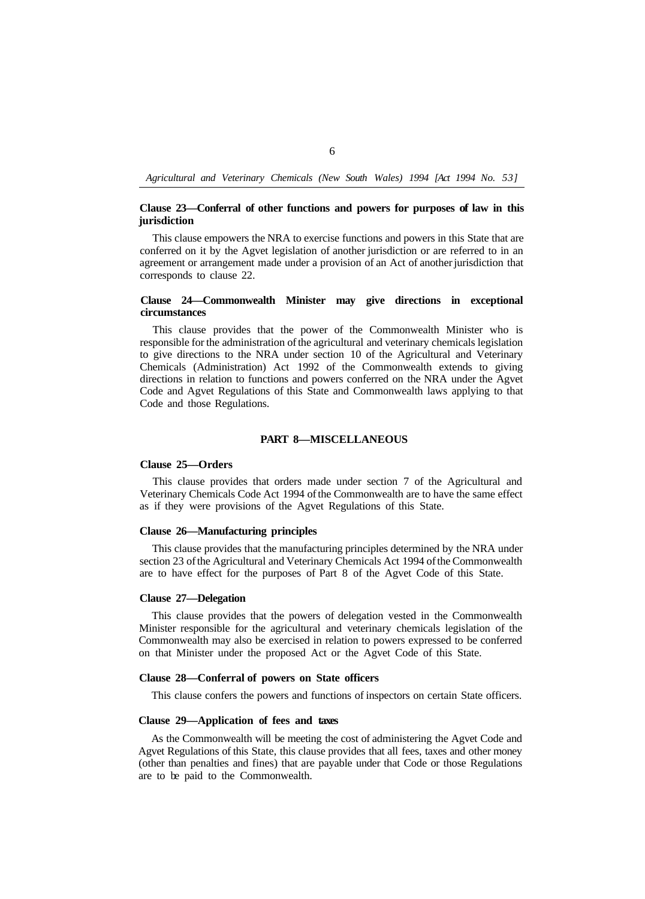## **Clause 23—Conferral of other functions and powers for purposes of law in this jurisdiction**

This clause empowers the NRA to exercise functions and powers in this State that are conferred on it by the Agvet legislation of another jurisdiction or are referred to in an agreement or arrangement made under a provision of an Act of another jurisdiction that corresponds to clause 22.

## **Clause 24—Commonwealth Minister may give directions in exceptional circumstances**

This clause provides that the power of the Commonwealth Minister who is responsible for the administration of the agricultural and veterinary chemicals legislation to give directions to the NRA under section 10 of the Agricultural and Veterinary Chemicals (Administration) Act 1992 of the Commonwealth extends to giving directions in relation to functions and powers conferred on the NRA under the Agvet Code and Agvet Regulations of this State and Commonwealth laws applying to that Code and those Regulations.

# **PART 8—MISCELLANEOUS**

## **Clause 25—Orders**

This clause provides that orders made under section 7 of the Agricultural and Veterinary Chemicals Code Act 1994 of the Commonwealth are to have the same effect as if they were provisions of the Agvet Regulations of this State.

#### **Clause 26—Manufacturing principles**

This clause provides that the manufacturing principles determined by the NRA under section 23 of the Agricultural and Veterinary Chemicals Act 1994 of the Commonwealth are to have effect for the purposes of Part 8 of the Agvet Code of this State.

### **Clause 27—Delegation**

This clause provides that the powers of delegation vested in the Commonwealth Minister responsible for the agricultural and veterinary chemicals legislation of the Commonwealth may also be exercised in relation to powers expressed to be conferred on that Minister under the proposed Act or the Agvet Code of this State.

### **Clause 28—Conferral of powers on State officers**

This clause confers the powers and functions of inspectors on certain State officers.

### **Clause 29—Application of fees and taxes**

As the Commonwealth will be meeting the cost of administering the Agvet Code and Agvet Regulations of this State, this clause provides that all fees, taxes and other money (other than penalties and fines) that are payable under that Code or those Regulations are to be paid to the Commonwealth.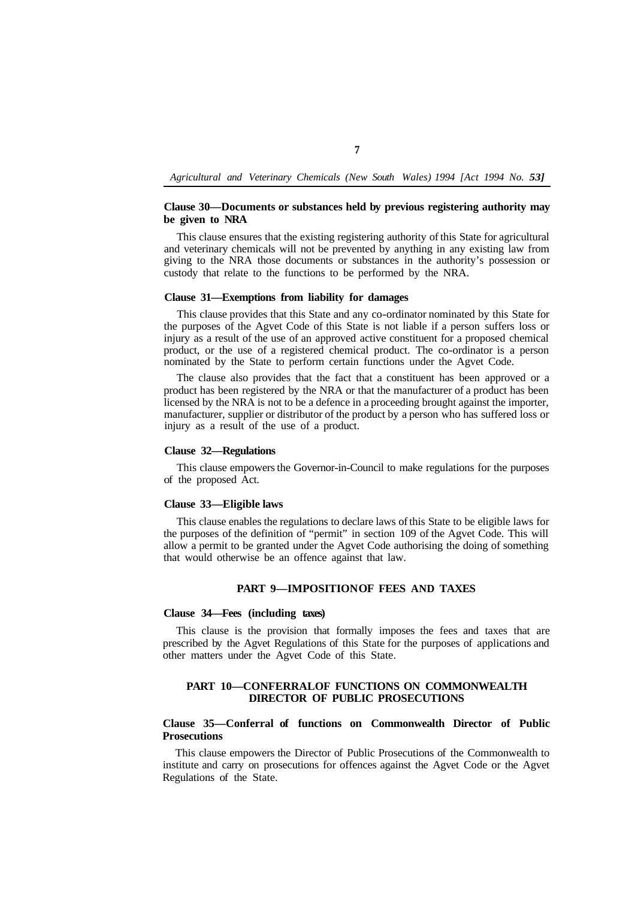## **Clause 30—Documents or substances held by previous registering authority may be given to NRA**

This clause ensures that the existing registering authority of this State for agricultural and veterinary chemicals will not be prevented by anything in any existing law from giving to the NRA those documents or substances in the authority's possession or custody that relate to the functions to be performed by the NRA.

### **Clause 31—Exemptions from liability for damages**

This clause provides that this State and any co-ordinator nominated by this State for the purposes of the Agvet Code of this State is not liable if a person suffers loss or injury as a result of the use of an approved active constituent for a proposed chemical product, or the use of a registered chemical product. The co-ordinator is a person nominated by the State to perform certain functions under the Agvet Code.

The clause also provides that the fact that a constituent has been approved or a product has been registered by the NRA or that the manufacturer of a product has been licensed by the NRA is not to be a defence in a proceeding brought against the importer, manufacturer, supplier or distributor of the product by a person who has suffered loss or injury as a result of the use of a product.

#### **Clause 32—Regulations**

of the proposed Act. This clause empowers the Governor-in-Council to make regulations for the purposes

# **Clause 33—Eligible laws**

This clause enables the regulations to declare laws of this State to be eligible laws for the purposes of the definition of "permit" in section 109 of the Agvet Code. This will allow a permit to be granted under the Agvet Code authorising the doing of something that would otherwise be an offence against that law.

## **PART 9-IMPOSITION OF FEES AND TAXES**

#### **Clause 34—Fees (including taxes)**

This clause is the provision that formally imposes the fees and taxes that are prescribed by the Agvet Regulations of this State for the purposes of applications and other matters under the Agvet Code of this State.

## **PART 10—CONFERRAL OF FUNCTIONS ON COMMONWEALTH DIRECTOR OF PUBLIC PROSECUTIONS**

## **Clause 35—Conferral of functions on Commonwealth Director of Public Prosecutions**

This clause empowers the Director of Public Prosecutions of the Commonwealth to institute and carry on prosecutions for offences against the Agvet Code or the Agvet Regulations of the State.